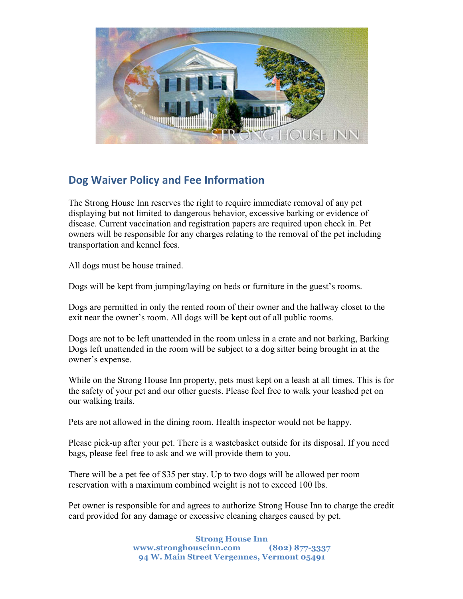

## **Dog Waiver Policy and Fee Information**

The Strong House Inn reserves the right to require immediate removal of any pet displaying but not limited to dangerous behavior, excessive barking or evidence of disease. Current vaccination and registration papers are required upon check in. Pet owners will be responsible for any charges relating to the removal of the pet including transportation and kennel fees.

All dogs must be house trained.

Dogs will be kept from jumping/laying on beds or furniture in the guest's rooms.

Dogs are permitted in only the rented room of their owner and the hallway closet to the exit near the owner's room. All dogs will be kept out of all public rooms.

Dogs are not to be left unattended in the room unless in a crate and not barking, Barking Dogs left unattended in the room will be subject to a dog sitter being brought in at the owner's expense.

While on the Strong House Inn property, pets must kept on a leash at all times. This is for the safety of your pet and our other guests. Please feel free to walk your leashed pet on our walking trails.

Pets are not allowed in the dining room. Health inspector would not be happy.

Please pick-up after your pet. There is a wastebasket outside for its disposal. If you need bags, please feel free to ask and we will provide them to you.

There will be a pet fee of \$35 per stay. Up to two dogs will be allowed per room reservation with a maximum combined weight is not to exceed 100 lbs.

Pet owner is responsible for and agrees to authorize Strong House Inn to charge the credit card provided for any damage or excessive cleaning charges caused by pet.

> **Strong House Inn www.stronghouseinn.com (802) 877-3337 94 W. Main Street Vergennes, Vermont 05491**